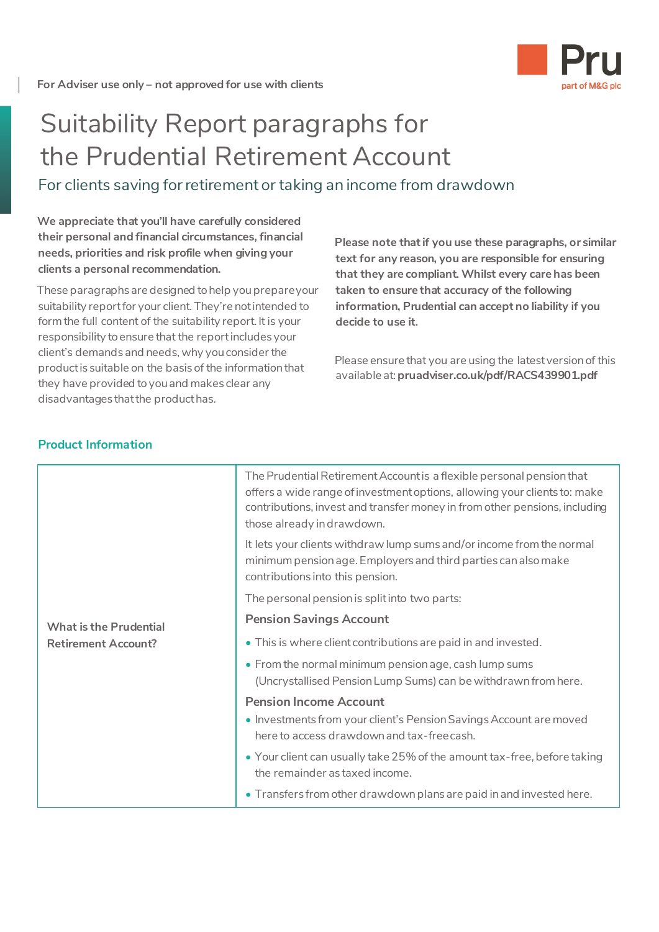

## Suitability Report paragraphs for the Prudential Retirement Account

For clients saving for retirement or taking an income from drawdown

**We appreciate that you'll have carefully considered their personal and financial circumstances, financial needs, priorities and risk profile when giving your clients a personal recommendation.**

These paragraphs are designed to help you prepare your suitability report for your client. They're not intended to form the full content of the suitability report. It is your responsibility to ensure that the report includes your client's demands and needs, why you consider the product is suitable on the basis of the information that they have provided to you and makes clear any disadvantages that the product has.

**Please note that if you use these paragraphs, or similar text for any reason, you are responsible for ensuring that they are compliant. Whilst every care has been taken to ensure that accuracy of the following information, Prudential can accept no liability if you decide to use it.**

Please ensure that you are using the latest version of this available at: **[pruadviser.co.uk/pdf/RACS439901.pdf](http://pruadviser.co.uk/pdf/RACS439901.pdf)**

| <b>What is the Prudential</b><br><b>Retirement Account?</b> | The Prudential Retirement Account is a flexible personal pension that<br>offers a wide range of investment options, allowing your clients to: make<br>contributions, invest and transfer money in from other pensions, including<br>those already in drawdown. |
|-------------------------------------------------------------|----------------------------------------------------------------------------------------------------------------------------------------------------------------------------------------------------------------------------------------------------------------|
|                                                             | It lets your clients withdraw lump sums and/or income from the normal<br>minimum pension age. Employers and third parties can also make<br>contributions into this pension.                                                                                    |
|                                                             | The personal pension is split into two parts:                                                                                                                                                                                                                  |
|                                                             | <b>Pension Savings Account</b>                                                                                                                                                                                                                                 |
|                                                             | • This is where client contributions are paid in and invested.                                                                                                                                                                                                 |
|                                                             | • From the normal minimum pension age, cash lump sums<br>(Uncrystallised Pension Lump Sums) can be withdrawn from here.                                                                                                                                        |
|                                                             | <b>Pension Income Account</b>                                                                                                                                                                                                                                  |
|                                                             | • Investments from your client's Pension Savings Account are moved<br>here to access drawdown and tax-free cash.                                                                                                                                               |
|                                                             | • Your client can usually take 25% of the amount tax-free, before taking<br>the remainder as taxed income.                                                                                                                                                     |
|                                                             | • Transfers from other drawdown plans are paid in and invested here.                                                                                                                                                                                           |

## **Product Information**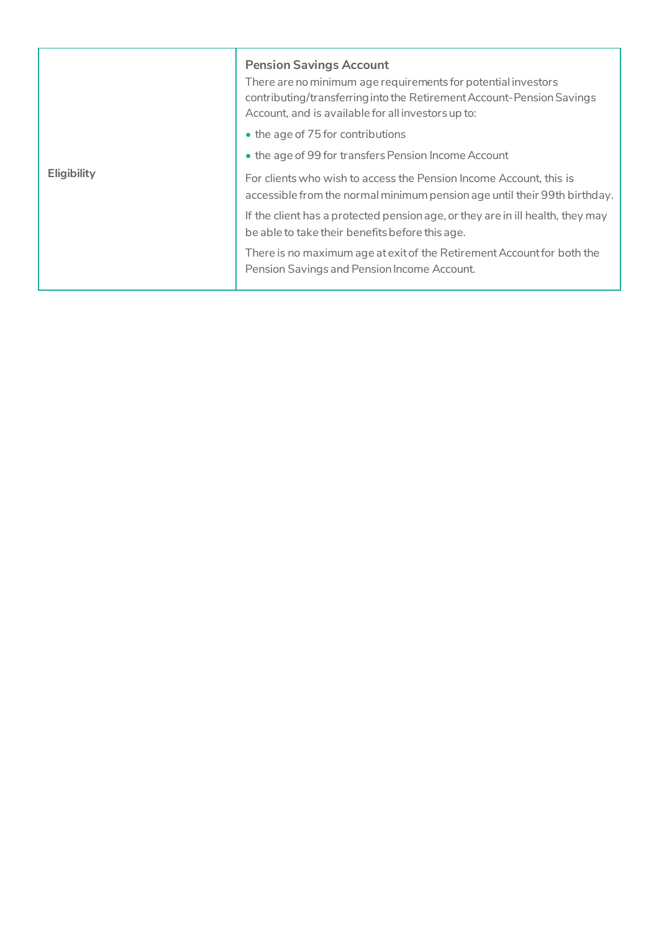| <b>Eligibility</b> | <b>Pension Savings Account</b><br>There are no minimum age requirements for potential investors<br>contributing/transferring into the Retirement Account-Pension Savings<br>Account, and is available for all investors up to: |
|--------------------|--------------------------------------------------------------------------------------------------------------------------------------------------------------------------------------------------------------------------------|
|                    | • the age of 75 for contributions                                                                                                                                                                                              |
|                    | • the age of 99 for transfers Pension Income Account                                                                                                                                                                           |
|                    | For clients who wish to access the Pension Income Account, this is<br>accessible from the normal minimum pension age until their 99th birthday.                                                                                |
|                    | If the client has a protected pension age, or they are in ill health, they may<br>be able to take their benefits before this age.                                                                                              |
|                    | There is no maximum age at exit of the Retirement Account for both the<br>Pension Savings and Pension Income Account.                                                                                                          |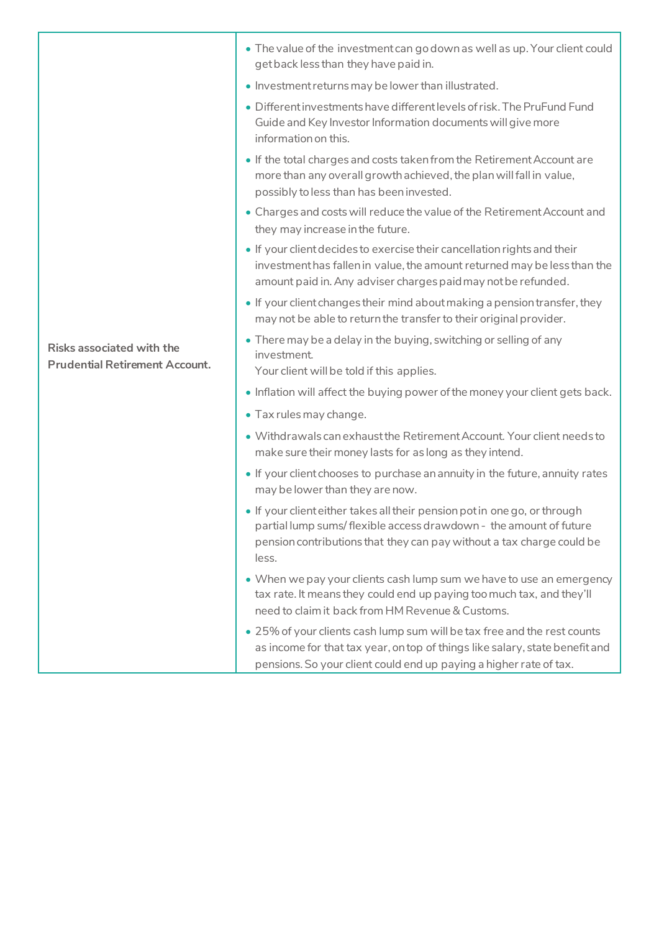|                                                                           | • Investment returns may be lower than illustrated.                                                                                                                                                                              |
|---------------------------------------------------------------------------|----------------------------------------------------------------------------------------------------------------------------------------------------------------------------------------------------------------------------------|
| <b>Risks associated with the</b><br><b>Prudential Retirement Account.</b> | • Different investments have different levels of risk. The PruFund Fund<br>Guide and Key Investor Information documents will give more<br>information on this.                                                                   |
|                                                                           | • If the total charges and costs taken from the Retirement Account are<br>more than any overall growth achieved, the plan will fall in value,<br>possibly to less than has been invested.                                        |
|                                                                           | • Charges and costs will reduce the value of the Retirement Account and<br>they may increase in the future.                                                                                                                      |
|                                                                           | • If your client decides to exercise their cancellation rights and their<br>investment has fallen in value, the amount returned may be less than the<br>amount paid in. Any adviser charges paid may not be refunded.            |
|                                                                           | • If your client changes their mind about making a pension transfer, they<br>may not be able to return the transfer to their original provider.                                                                                  |
|                                                                           | • There may be a delay in the buying, switching or selling of any<br>investment.<br>Your client will be told if this applies.                                                                                                    |
|                                                                           | • Inflation will affect the buying power of the money your client gets back.                                                                                                                                                     |
|                                                                           | • Tax rules may change.                                                                                                                                                                                                          |
|                                                                           | • Withdrawals can exhaust the Retirement Account. Your client needs to<br>make sure their money lasts for as long as they intend.                                                                                                |
|                                                                           | • If your client chooses to purchase an annuity in the future, annuity rates<br>may be lower than they are now.                                                                                                                  |
|                                                                           | . If your client either takes all their pension pot in one go, or through<br>partial lump sums/flexible access drawdown - the amount of future<br>pension contributions that they can pay without a tax charge could be<br>less. |
|                                                                           | • When we pay your clients cash lump sum we have to use an emergency<br>tax rate. It means they could end up paying too much tax, and they'll<br>need to claim it back from HM Revenue & Customs.                                |
|                                                                           | • 25% of your clients cash lump sum will be tax free and the rest counts<br>as income for that tax year, on top of things like salary, state benefit and<br>pensions. So your client could end up paying a higher rate of tax.   |

get back less than they have paid in.

• The value of the investment can go down as well as up. Your client could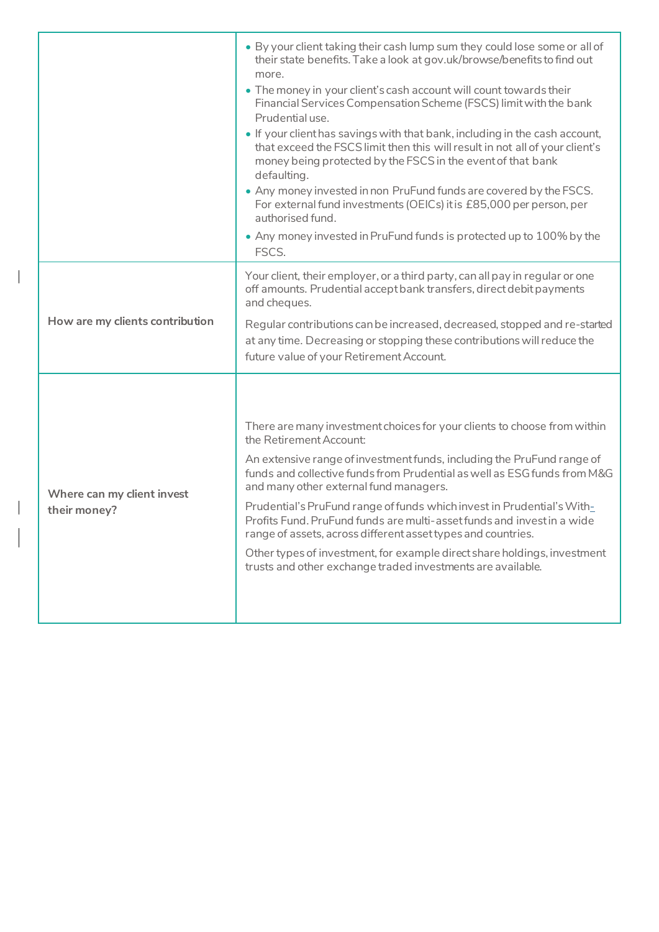|                                            | . By your client taking their cash lump sum they could lose some or all of<br>their state benefits. Take a look at gov.uk/browse/benefits to find out<br>more.<br>• The money in your client's cash account will count towards their<br>Financial Services Compensation Scheme (FSCS) limit with the bank<br>Prudential use.<br>. If your client has savings with that bank, including in the cash account,<br>that exceed the FSCS limit then this will result in not all of your client's<br>money being protected by the FSCS in the event of that bank<br>defaulting.<br>• Any money invested in non PruFund funds are covered by the FSCS.<br>For external fund investments (OEICs) it is £85,000 per person, per<br>authorised fund.<br>• Any money invested in PruFund funds is protected up to 100% by the<br>FSCS. |
|--------------------------------------------|-----------------------------------------------------------------------------------------------------------------------------------------------------------------------------------------------------------------------------------------------------------------------------------------------------------------------------------------------------------------------------------------------------------------------------------------------------------------------------------------------------------------------------------------------------------------------------------------------------------------------------------------------------------------------------------------------------------------------------------------------------------------------------------------------------------------------------|
| How are my clients contribution            | Your client, their employer, or a third party, can all pay in regular or one<br>off amounts. Prudential accept bank transfers, direct debit payments<br>and cheques.<br>Regular contributions can be increased, decreased, stopped and re-started<br>at any time. Decreasing or stopping these contributions will reduce the<br>future value of your Retirement Account.                                                                                                                                                                                                                                                                                                                                                                                                                                                    |
| Where can my client invest<br>their money? | There are many investment choices for your clients to choose from within<br>the Retirement Account:<br>An extensive range of investment funds, including the PruFund range of<br>funds and collective funds from Prudential as well as ESG funds from M&G<br>and many other external fund managers.<br>Prudential's PruFund range of funds which invest in Prudential's With-<br>Profits Fund. PruFund funds are multi-asset funds and investin a wide<br>range of assets, across different asset types and countries.<br>Other types of investment, for example direct share holdings, investment<br>trusts and other exchange traded investments are available.                                                                                                                                                           |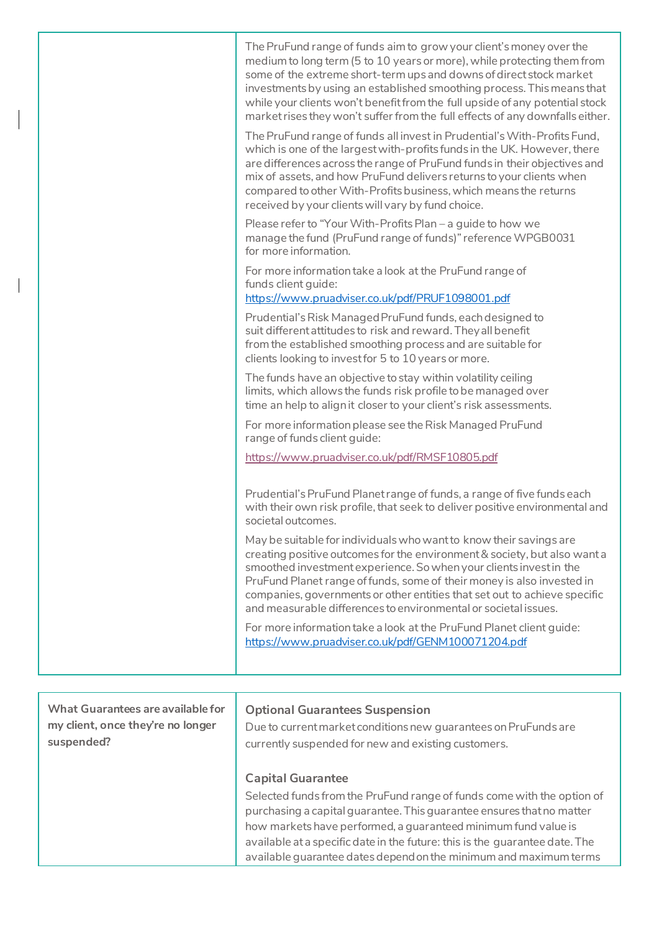| The PruFund range of funds aim to grow your client's money over the<br>medium to long term (5 to 10 years or more), while protecting them from<br>some of the extreme short-term ups and downs of direct stock market<br>investments by using an established smoothing process. This means that<br>while your clients won't benefit from the full upside of any potential stock<br>market rises they won't suffer from the full effects of any downfalls either. |
|------------------------------------------------------------------------------------------------------------------------------------------------------------------------------------------------------------------------------------------------------------------------------------------------------------------------------------------------------------------------------------------------------------------------------------------------------------------|
| The PruFund range of funds all invest in Prudential's With-Profits Fund,<br>which is one of the largest with-profits funds in the UK. However, there<br>are differences across the range of PruFund funds in their objectives and<br>mix of assets, and how PruFund delivers returns to your clients when<br>compared to other With-Profits business, which means the returns<br>received by your clients will vary by fund choice.                              |
| Please refer to "Your With-Profits Plan - a guide to how we<br>manage the fund (PruFund range of funds)" reference WPGB0031<br>for more information.                                                                                                                                                                                                                                                                                                             |
| For more information take a look at the PruFund range of<br>funds client guide:<br>https://www.pruadviser.co.uk/pdf/PRUF1098001.pdf                                                                                                                                                                                                                                                                                                                              |
| Prudential's Risk Managed PruFund funds, each designed to<br>suit different attitudes to risk and reward. They all benefit<br>from the established smoothing process and are suitable for<br>clients looking to invest for 5 to 10 years or more.                                                                                                                                                                                                                |
| The funds have an objective to stay within volatility ceiling<br>limits, which allows the funds risk profile to be managed over<br>time an help to align it closer to your client's risk assessments.                                                                                                                                                                                                                                                            |
| For more information please see the Risk Managed PruFund<br>range of funds client guide:                                                                                                                                                                                                                                                                                                                                                                         |
| https://www.pruadviser.co.uk/pdf/RMSF10805.pdf                                                                                                                                                                                                                                                                                                                                                                                                                   |
| Prudential's PruFund Planet range of funds, a range of five funds each<br>with their own risk profile, that seek to deliver positive environmental and<br>societal outcomes.                                                                                                                                                                                                                                                                                     |
| May be suitable for individuals who want to know their savings are<br>creating positive outcomes for the environment & society, but also want a<br>smoothed investment experience. So when your clients invest in the<br>PruFund Planet range of funds, some of their money is also invested in<br>companies, governments or other entities that set out to achieve specific<br>and measurable differences to environmental or societal issues.                  |
| For more information take a look at the PruFund Planet client guide:<br>https://www.pruadviser.co.uk/pdf/GENM100071204.pdf                                                                                                                                                                                                                                                                                                                                       |

| What Guarantees are available for<br>my client, once they're no longer<br>suspended? | <b>Optional Guarantees Suspension</b><br>Due to current market conditions new guarantees on PruFunds are<br>currently suspended for new and existing customers.                                                                                                                                                              |
|--------------------------------------------------------------------------------------|------------------------------------------------------------------------------------------------------------------------------------------------------------------------------------------------------------------------------------------------------------------------------------------------------------------------------|
|                                                                                      | <b>Capital Guarantee</b><br>Selected funds from the PruFund range of funds come with the option of<br>purchasing a capital guarantee. This guarantee ensures that no matter<br>how markets have performed, a guaranteed minimum fund value is<br>available at a specific date in the future: this is the guarantee date. The |
|                                                                                      | available guarantee dates depend on the minimum and maximum terms                                                                                                                                                                                                                                                            |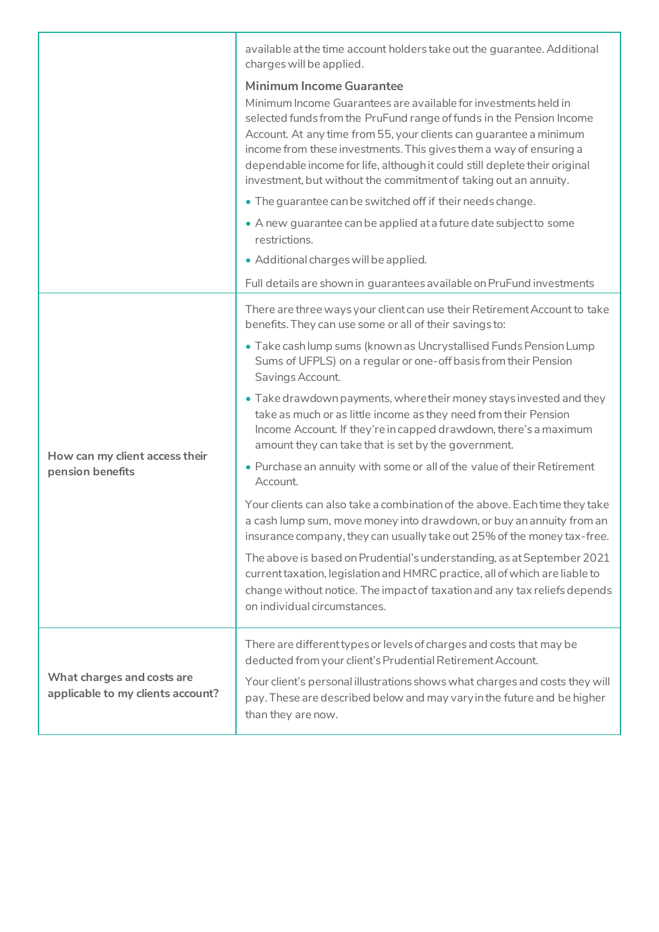|                                                                 | available at the time account holders take out the guarantee. Additional<br>charges will be applied.                                                                                                                                                                                                                                                                                                                                                                     |
|-----------------------------------------------------------------|--------------------------------------------------------------------------------------------------------------------------------------------------------------------------------------------------------------------------------------------------------------------------------------------------------------------------------------------------------------------------------------------------------------------------------------------------------------------------|
|                                                                 | <b>Minimum Income Guarantee</b><br>Minimum Income Guarantees are available for investments held in<br>selected funds from the PruFund range of funds in the Pension Income<br>Account. At any time from 55, your clients can guarantee a minimum<br>income from these investments. This gives them a way of ensuring a<br>dependable income for life, although it could still deplete their original<br>investment, but without the commitment of taking out an annuity. |
|                                                                 | • The guarantee can be switched off if their needs change.                                                                                                                                                                                                                                                                                                                                                                                                               |
|                                                                 | • A new guarantee can be applied at a future date subject to some<br>restrictions.                                                                                                                                                                                                                                                                                                                                                                                       |
|                                                                 | • Additional charges will be applied.                                                                                                                                                                                                                                                                                                                                                                                                                                    |
|                                                                 | Full details are shown in guarantees available on PruFund investments                                                                                                                                                                                                                                                                                                                                                                                                    |
| How can my client access their<br>pension benefits              | There are three ways your client can use their Retirement Account to take<br>benefits. They can use some or all of their savings to:                                                                                                                                                                                                                                                                                                                                     |
|                                                                 | • Take cash lump sums (known as Uncrystallised Funds Pension Lump<br>Sums of UFPLS) on a regular or one-off basis from their Pension<br>Savings Account.                                                                                                                                                                                                                                                                                                                 |
|                                                                 | • Take drawdown payments, where their money stays invested and they<br>take as much or as little income as they need from their Pension<br>Income Account. If they're in capped drawdown, there's a maximum<br>amount they can take that is set by the government.                                                                                                                                                                                                       |
|                                                                 | • Purchase an annuity with some or all of the value of their Retirement<br>Account.                                                                                                                                                                                                                                                                                                                                                                                      |
|                                                                 | Your clients can also take a combination of the above. Each time they take<br>a cash lump sum, move money into drawdown, or buy an annuity from an<br>insurance company, they can usually take out 25% of the money tax-free.                                                                                                                                                                                                                                            |
|                                                                 | The above is based on Prudential's understanding, as at September 2021<br>current taxation, legislation and HMRC practice, all of which are liable to<br>change without notice. The impact of taxation and any tax reliefs depends<br>on individual circumstances.                                                                                                                                                                                                       |
| What charges and costs are<br>applicable to my clients account? | There are different types or levels of charges and costs that may be<br>deducted from your client's Prudential Retirement Account.                                                                                                                                                                                                                                                                                                                                       |
|                                                                 | Your client's personal illustrations shows what charges and costs they will<br>pay. These are described below and may vary in the future and be higher<br>than they are now.                                                                                                                                                                                                                                                                                             |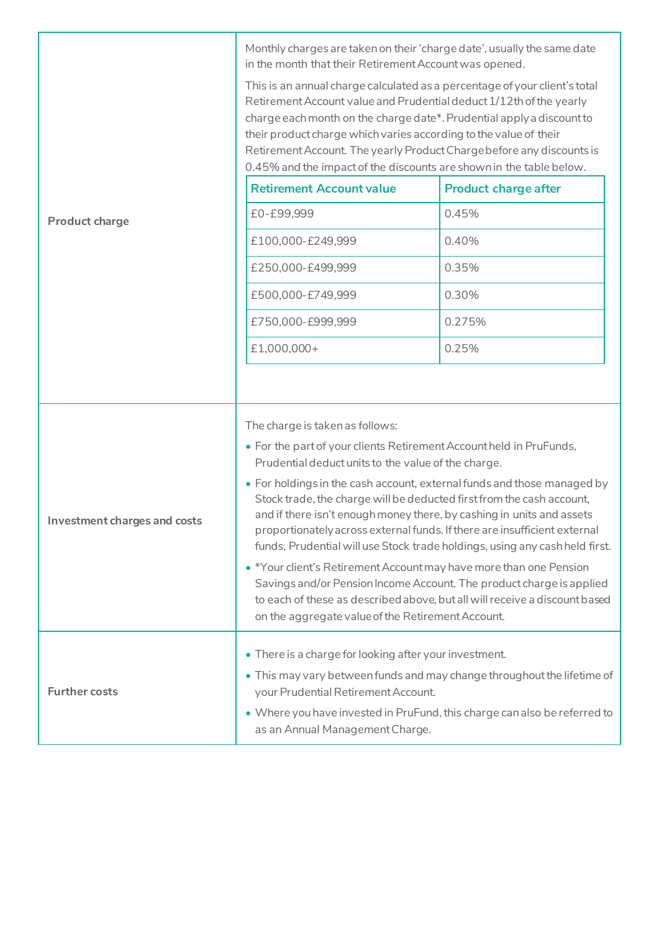|                              | Monthly charges are taken on their 'charge date', usually the same date<br>in the month that their Retirement Account was opened.<br>This is an annual charge calculated as a percentage of your client's total<br>Retirement Account value and Prudential deduct 1/12th of the yearly<br>charge each month on the charge date*. Prudential apply a discount to<br>their product charge which varies according to the value of their<br>Retirement Account. The yearly Product Charge before any discounts is<br>0.45% and the impact of the discounts are shown in the table below.                                                                                                                                                                                                                                                    |                             |
|------------------------------|-----------------------------------------------------------------------------------------------------------------------------------------------------------------------------------------------------------------------------------------------------------------------------------------------------------------------------------------------------------------------------------------------------------------------------------------------------------------------------------------------------------------------------------------------------------------------------------------------------------------------------------------------------------------------------------------------------------------------------------------------------------------------------------------------------------------------------------------|-----------------------------|
|                              | <b>Retirement Account value</b>                                                                                                                                                                                                                                                                                                                                                                                                                                                                                                                                                                                                                                                                                                                                                                                                         | <b>Product charge after</b> |
| <b>Product charge</b>        | £0-£99,999                                                                                                                                                                                                                                                                                                                                                                                                                                                                                                                                                                                                                                                                                                                                                                                                                              | 0.45%                       |
|                              | £100,000-£249,999                                                                                                                                                                                                                                                                                                                                                                                                                                                                                                                                                                                                                                                                                                                                                                                                                       | 0.40%                       |
|                              | £250,000-£499,999                                                                                                                                                                                                                                                                                                                                                                                                                                                                                                                                                                                                                                                                                                                                                                                                                       | 0.35%                       |
|                              | £500,000-£749,999                                                                                                                                                                                                                                                                                                                                                                                                                                                                                                                                                                                                                                                                                                                                                                                                                       | 0.30%                       |
|                              | £750,000-£999,999                                                                                                                                                                                                                                                                                                                                                                                                                                                                                                                                                                                                                                                                                                                                                                                                                       | 0.275%                      |
|                              | £1,000,000+                                                                                                                                                                                                                                                                                                                                                                                                                                                                                                                                                                                                                                                                                                                                                                                                                             | 0.25%                       |
|                              |                                                                                                                                                                                                                                                                                                                                                                                                                                                                                                                                                                                                                                                                                                                                                                                                                                         |                             |
| Investment charges and costs | The charge is taken as follows:<br>• For the part of your clients Retirement Account held in PruFunds,<br>Prudential deduct units to the value of the charge.<br>• For holdings in the cash account, external funds and those managed by<br>Stock trade, the charge will be deducted first from the cash account,<br>and if there isn't enough money there, by cashing in units and assets<br>proportionately across external funds. If there are insufficient external<br>funds, Prudential will use Stock trade holdings, using any cash held first.<br>• *Your client's Retirement Account may have more than one Pension<br>Savings and/or Pension Income Account. The product charge is applied<br>to each of these as described above, but all will receive a discount based<br>on the aggregate value of the Retirement Account. |                             |
| <b>Further costs</b>         | • There is a charge for looking after your investment.<br>• This may vary between funds and may change throughout the lifetime of<br>your Prudential Retirement Account.<br>• Where you have invested in PruFund, this charge can also be referred to<br>as an Annual Management Charge.                                                                                                                                                                                                                                                                                                                                                                                                                                                                                                                                                |                             |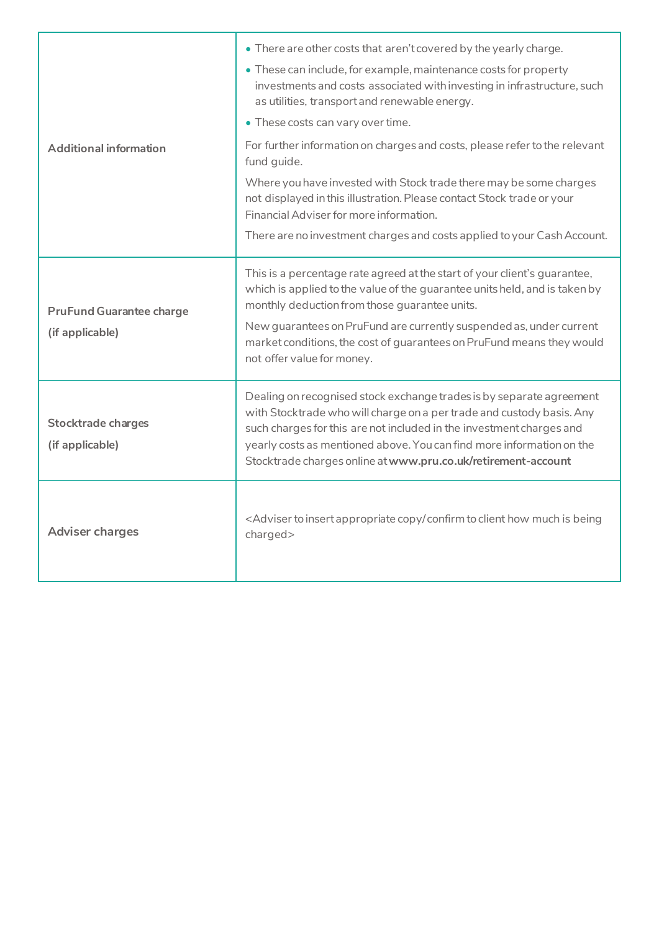|                                                                                     | • There are other costs that aren't covered by the yearly charge.                                                                                                                                                                                                                                                                                               |
|-------------------------------------------------------------------------------------|-----------------------------------------------------------------------------------------------------------------------------------------------------------------------------------------------------------------------------------------------------------------------------------------------------------------------------------------------------------------|
|                                                                                     | • These can include, for example, maintenance costs for property<br>investments and costs associated with investing in infrastructure, such<br>as utilities, transport and renewable energy.                                                                                                                                                                    |
|                                                                                     | • These costs can vary over time.                                                                                                                                                                                                                                                                                                                               |
| <b>Additional information</b><br><b>PruFund Guarantee charge</b><br>(if applicable) | For further information on charges and costs, please refer to the relevant<br>fund guide.                                                                                                                                                                                                                                                                       |
|                                                                                     | Where you have invested with Stock trade there may be some charges<br>not displayed in this illustration. Please contact Stock trade or your<br>Financial Adviser for more information.                                                                                                                                                                         |
|                                                                                     | There are no investment charges and costs applied to your Cash Account.                                                                                                                                                                                                                                                                                         |
|                                                                                     | This is a percentage rate agreed at the start of your client's guarantee,<br>which is applied to the value of the guarantee units held, and is taken by<br>monthly deduction from those guarantee units.<br>New guarantees on PruFund are currently suspended as, under current<br>market conditions, the cost of guarantees on PruFund means they would        |
|                                                                                     | not offer value for money.                                                                                                                                                                                                                                                                                                                                      |
| <b>Stocktrade charges</b><br>(if applicable)                                        | Dealing on recognised stock exchange trades is by separate agreement<br>with Stocktrade who will charge on a per trade and custody basis. Any<br>such charges for this are not included in the investment charges and<br>yearly costs as mentioned above. You can find more information on the<br>Stocktrade charges online at www.pru.co.uk/retirement-account |
| <b>Adviser charges</b>                                                              | <adviser appropriate="" being<br="" client="" confirm="" copy="" how="" insert="" is="" much="" to="">charged&gt;</adviser>                                                                                                                                                                                                                                     |